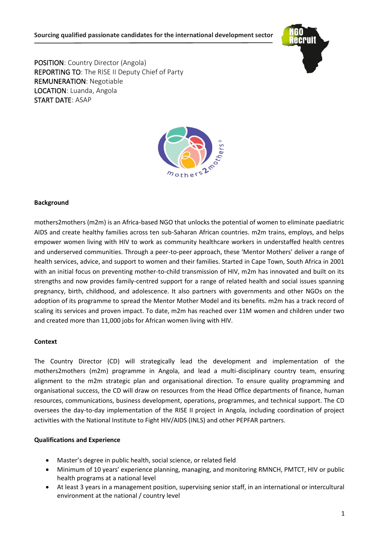

POSITION: Country Director (Angola) REPORTING TO: The RISE II Deputy Chief of Party REMUNERATION: Negotiable LOCATION: Luanda, Angola START DATE: ASAP



# **Background**

mothers2mothers (m2m) is an Africa-based NGO that unlocks the potential of women to eliminate paediatric AIDS and create healthy families across ten sub-Saharan African countries. m2m trains, employs, and helps empower women living with HIV to work as community healthcare workers in understaffed health centres and underserved communities. Through a peer-to-peer approach, these 'Mentor Mothers' deliver a range of health services, advice, and support to women and their families. Started in Cape Town, South Africa in 2001 with an initial focus on preventing mother-to-child transmission of HIV, m2m has innovated and built on its strengths and now provides family-centred support for a range of related health and social issues spanning pregnancy, birth, childhood, and adolescence. It also partners with governments and other NGOs on the adoption of its programme to spread the Mentor Mother Model and its benefits. m2m has a track record of scaling its services and proven impact. To date, m2m has reached over 11M women and children under two and created more than 11,000 jobs for African women living with HIV.

### **Context**

The Country Director (CD) will strategically lead the development and implementation of the mothers2mothers (m2m) programme in Angola, and lead a multi-disciplinary country team, ensuring alignment to the m2m strategic plan and organisational direction. To ensure quality programming and organisational success, the CD will draw on resources from the Head Office departments of finance, human resources, communications, business development, operations, programmes, and technical support. The CD oversees the day-to-day implementation of the RISE II project in Angola, including coordination of project activities with the National Institute to Fight HIV/AIDS (INLS) and other PEPFAR partners.

### **Qualifications and Experience**

- Master's degree in public health, social science, or related field
- Minimum of 10 years' experience planning, managing, and monitoring RMNCH, PMTCT, HIV or public health programs at a national level
- At least 3 years in a management position, supervising senior staff, in an international or intercultural environment at the national / country level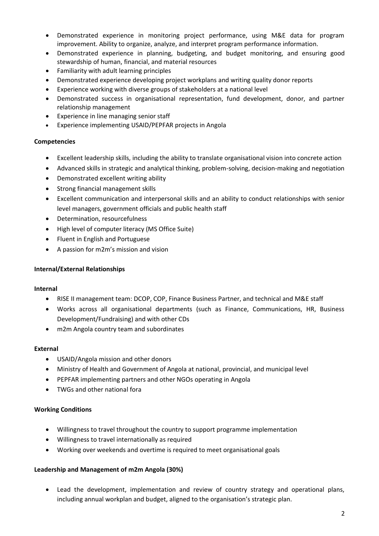- Demonstrated experience in monitoring project performance, using M&E data for program improvement. Ability to organize, analyze, and interpret program performance information.
- Demonstrated experience in planning, budgeting, and budget monitoring, and ensuring good stewardship of human, financial, and material resources
- Familiarity with adult learning principles
- Demonstrated experience developing project workplans and writing quality donor reports
- Experience working with diverse groups of stakeholders at a national level
- Demonstrated success in organisational representation, fund development, donor, and partner relationship management
- Experience in line managing senior staff
- Experience implementing USAID/PEPFAR projects in Angola

### **Competencies**

- Excellent leadership skills, including the ability to translate organisational vision into concrete action
- Advanced skills in strategic and analytical thinking, problem-solving, decision-making and negotiation
- Demonstrated excellent writing ability
- Strong financial management skills
- Excellent communication and interpersonal skills and an ability to conduct relationships with senior level managers, government officials and public health staff
- Determination, resourcefulness
- High level of computer literacy (MS Office Suite)
- Fluent in English and Portuguese
- A passion for m2m's mission and vision

#### **Internal/External Relationships**

#### **Internal**

- RISE II management team: DCOP, COP, Finance Business Partner, and technical and M&E staff
- Works across all organisational departments (such as Finance, Communications, HR, Business Development/Fundraising) and with other CDs
- m2m Angola country team and subordinates

#### **External**

- USAID/Angola mission and other donors
- Ministry of Health and Government of Angola at national, provincial, and municipal level
- PEPFAR implementing partners and other NGOs operating in Angola
- TWGs and other national fora

### **Working Conditions**

- Willingness to travel throughout the country to support programme implementation
- Willingness to travel internationally as required
- Working over weekends and overtime is required to meet organisational goals

#### **Leadership and Management of m2m Angola (30%)**

• Lead the development, implementation and review of country strategy and operational plans, including annual workplan and budget, aligned to the organisation's strategic plan.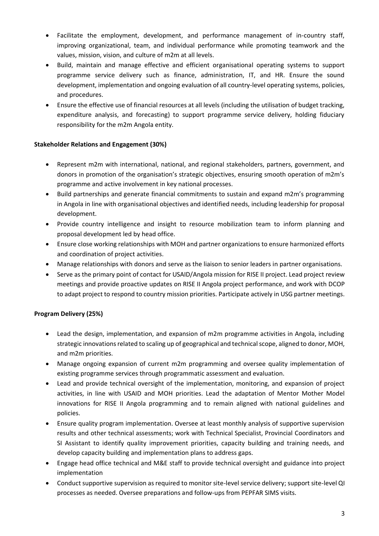- Facilitate the employment, development, and performance management of in-country staff, improving organizational, team, and individual performance while promoting teamwork and the values, mission, vision, and culture of m2m at all levels.
- Build, maintain and manage effective and efficient organisational operating systems to support programme service delivery such as finance, administration, IT, and HR. Ensure the sound development, implementation and ongoing evaluation of all country-level operating systems, policies, and procedures.
- Ensure the effective use of financial resources at all levels (including the utilisation of budget tracking, expenditure analysis, and forecasting) to support programme service delivery, holding fiduciary responsibility for the m2m Angola entity.

# **Stakeholder Relations and Engagement (30%)**

- Represent m2m with international, national, and regional stakeholders, partners, government, and donors in promotion of the organisation's strategic objectives, ensuring smooth operation of m2m's programme and active involvement in key national processes.
- Build partnerships and generate financial commitments to sustain and expand m2m's programming in Angola in line with organisational objectives and identified needs, including leadership for proposal development.
- Provide country intelligence and insight to resource mobilization team to inform planning and proposal development led by head office.
- Ensure close working relationships with MOH and partner organizations to ensure harmonized efforts and coordination of project activities.
- Manage relationships with donors and serve as the liaison to senior leaders in partner organisations.
- Serve as the primary point of contact for USAID/Angola mission for RISE II project. Lead project review meetings and provide proactive updates on RISE II Angola project performance, and work with DCOP to adapt project to respond to country mission priorities. Participate actively in USG partner meetings.

# **Program Delivery (25%)**

- Lead the design, implementation, and expansion of m2m programme activities in Angola, including strategic innovations related to scaling up of geographical and technical scope, aligned to donor, MOH, and m2m priorities.
- Manage ongoing expansion of current m2m programming and oversee quality implementation of existing programme services through programmatic assessment and evaluation.
- Lead and provide technical oversight of the implementation, monitoring, and expansion of project activities, in line with USAID and MOH priorities. Lead the adaptation of Mentor Mother Model innovations for RISE II Angola programming and to remain aligned with national guidelines and policies.
- Ensure quality program implementation. Oversee at least monthly analysis of supportive supervision results and other technical assessments; work with Technical Specialist, Provincial Coordinators and SI Assistant to identify quality improvement priorities, capacity building and training needs, and develop capacity building and implementation plans to address gaps.
- Engage head office technical and M&E staff to provide technical oversight and guidance into project implementation
- Conduct supportive supervision as required to monitor site-level service delivery; support site-level QI processes as needed. Oversee preparations and follow-ups from PEPFAR SIMS visits.